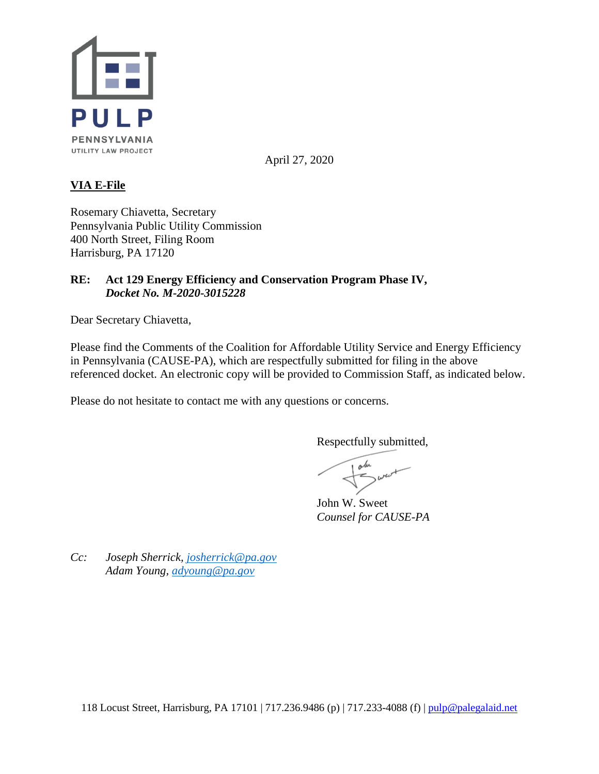

April 27, 2020

# **VIA E-File**

Rosemary Chiavetta, Secretary Pennsylvania Public Utility Commission 400 North Street, Filing Room Harrisburg, PA 17120

# **RE: Act 129 Energy Efficiency and Conservation Program Phase IV,** *Docket No. M-2020-3015228*

Dear Secretary Chiavetta,

Please find the Comments of the Coalition for Affordable Utility Service and Energy Efficiency in Pennsylvania (CAUSE-PA), which are respectfully submitted for filing in the above referenced docket. An electronic copy will be provided to Commission Staff, as indicated below.

Please do not hesitate to contact me with any questions or concerns.

Respectfully submitted,

z

John W. Sweet *Counsel for CAUSE-PA*

*Cc: Joseph Sherrick, [josherrick@pa.gov](mailto:josherrick@pa.gov) Adam Young, [adyoung@pa.gov](mailto:adyoung@pa.gov)*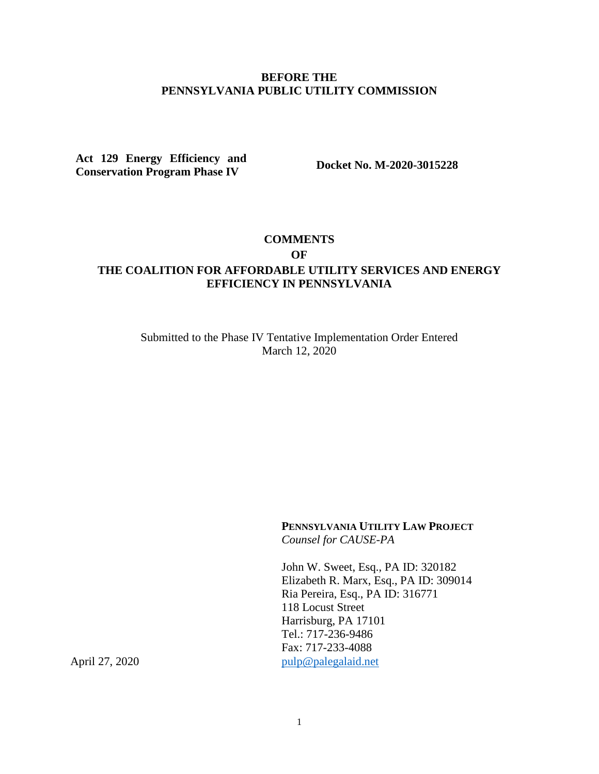#### **BEFORE THE PENNSYLVANIA PUBLIC UTILITY COMMISSION**

**Act 129 Energy Efficiency and Conservation Program Phase IV Docket No. M-2020-3015228**

#### **COMMENTS**

**OF**

# **THE COALITION FOR AFFORDABLE UTILITY SERVICES AND ENERGY EFFICIENCY IN PENNSYLVANIA**

Submitted to the Phase IV Tentative Implementation Order Entered March 12, 2020

> **PENNSYLVANIA UTILITY LAW PROJECT** *Counsel for CAUSE-PA*

John W. Sweet, Esq., PA ID: 320182 Elizabeth R. Marx, Esq., PA ID: 309014 Ria Pereira, Esq., PA ID: 316771 118 Locust Street Harrisburg, PA 17101 Tel.: 717-236-9486 Fax: 717-233-4088 April 27, 2020 [pulp@palegalaid.net](mailto:pulp@palegalaid.net)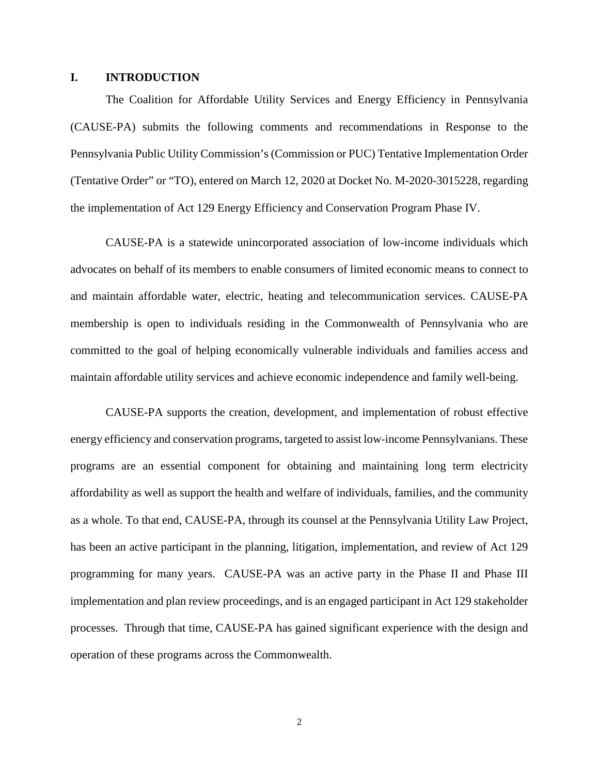#### **I. INTRODUCTION**

The Coalition for Affordable Utility Services and Energy Efficiency in Pennsylvania (CAUSE-PA) submits the following comments and recommendations in Response to the Pennsylvania Public Utility Commission's (Commission or PUC) Tentative Implementation Order (Tentative Order" or "TO), entered on March 12, 2020 at Docket No. M-2020-3015228, regarding the implementation of Act 129 Energy Efficiency and Conservation Program Phase IV.

CAUSE-PA is a statewide unincorporated association of low-income individuals which advocates on behalf of its members to enable consumers of limited economic means to connect to and maintain affordable water, electric, heating and telecommunication services. CAUSE-PA membership is open to individuals residing in the Commonwealth of Pennsylvania who are committed to the goal of helping economically vulnerable individuals and families access and maintain affordable utility services and achieve economic independence and family well-being.

CAUSE-PA supports the creation, development, and implementation of robust effective energy efficiency and conservation programs, targeted to assist low-income Pennsylvanians. These programs are an essential component for obtaining and maintaining long term electricity affordability as well as support the health and welfare of individuals, families, and the community as a whole. To that end, CAUSE-PA, through its counsel at the Pennsylvania Utility Law Project, has been an active participant in the planning, litigation, implementation, and review of Act 129 programming for many years. CAUSE-PA was an active party in the Phase II and Phase III implementation and plan review proceedings, and is an engaged participant in Act 129 stakeholder processes. Through that time, CAUSE-PA has gained significant experience with the design and operation of these programs across the Commonwealth.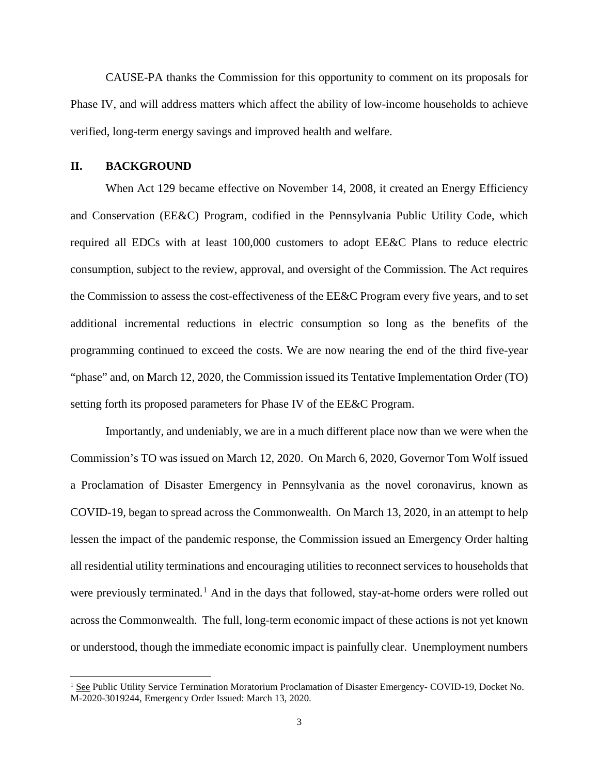CAUSE-PA thanks the Commission for this opportunity to comment on its proposals for Phase IV, and will address matters which affect the ability of low-income households to achieve verified, long-term energy savings and improved health and welfare.

#### **II. BACKGROUND**

When Act 129 became effective on November 14, 2008, it created an Energy Efficiency and Conservation (EE&C) Program, codified in the Pennsylvania Public Utility Code, which required all EDCs with at least 100,000 customers to adopt EE&C Plans to reduce electric consumption, subject to the review, approval, and oversight of the Commission. The Act requires the Commission to assess the cost-effectiveness of the EE&C Program every five years, and to set additional incremental reductions in electric consumption so long as the benefits of the programming continued to exceed the costs. We are now nearing the end of the third five-year "phase" and, on March 12, 2020, the Commission issued its Tentative Implementation Order (TO) setting forth its proposed parameters for Phase IV of the EE&C Program.

Importantly, and undeniably, we are in a much different place now than we were when the Commission's TO was issued on March 12, 2020. On March 6, 2020, Governor Tom Wolf issued a Proclamation of Disaster Emergency in Pennsylvania as the novel coronavirus, known as COVID-19, began to spread across the Commonwealth. On March 13, 2020, in an attempt to help lessen the impact of the pandemic response, the Commission issued an Emergency Order halting all residential utility terminations and encouraging utilities to reconnect services to households that were previously terminated.<sup>[1](#page-3-0)</sup> And in the days that followed, stay-at-home orders were rolled out across the Commonwealth. The full, long-term economic impact of these actions is not yet known or understood, though the immediate economic impact is painfully clear. Unemployment numbers

<span id="page-3-0"></span><sup>&</sup>lt;sup>1</sup> See Public Utility Service Termination Moratorium Proclamation of Disaster Emergency- COVID-19, Docket No. M-2020-3019244, Emergency Order Issued: March 13, 2020.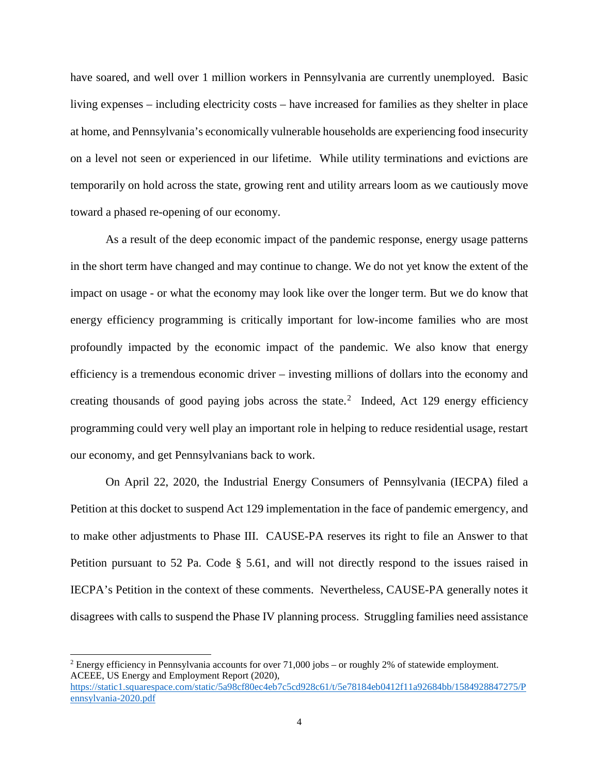have soared, and well over 1 million workers in Pennsylvania are currently unemployed. Basic living expenses – including electricity costs – have increased for families as they shelter in place at home, and Pennsylvania's economically vulnerable households are experiencing food insecurity on a level not seen or experienced in our lifetime. While utility terminations and evictions are temporarily on hold across the state, growing rent and utility arrears loom as we cautiously move toward a phased re-opening of our economy.

As a result of the deep economic impact of the pandemic response, energy usage patterns in the short term have changed and may continue to change. We do not yet know the extent of the impact on usage - or what the economy may look like over the longer term. But we do know that energy efficiency programming is critically important for low-income families who are most profoundly impacted by the economic impact of the pandemic. We also know that energy efficiency is a tremendous economic driver – investing millions of dollars into the economy and creating thousands of good paying jobs across the state.<sup>[2](#page-4-0)</sup> Indeed, Act 129 energy efficiency programming could very well play an important role in helping to reduce residential usage, restart our economy, and get Pennsylvanians back to work.

On April 22, 2020, the Industrial Energy Consumers of Pennsylvania (IECPA) filed a Petition at this docket to suspend Act 129 implementation in the face of pandemic emergency, and to make other adjustments to Phase III. CAUSE-PA reserves its right to file an Answer to that Petition pursuant to 52 Pa. Code § 5.61, and will not directly respond to the issues raised in IECPA's Petition in the context of these comments. Nevertheless, CAUSE-PA generally notes it disagrees with calls to suspend the Phase IV planning process. Struggling families need assistance

<span id="page-4-0"></span> <sup>2</sup> Energy efficiency in Pennsylvania accounts for over 71,000 jobs – or roughly 2% of statewide employment. ACEEE, US Energy and Employment Report (2020), [https://static1.squarespace.com/static/5a98cf80ec4eb7c5cd928c61/t/5e78184eb0412f11a92684bb/1584928847275/P](https://static1.squarespace.com/static/5a98cf80ec4eb7c5cd928c61/t/5e78184eb0412f11a92684bb/1584928847275/Pennsylvania-2020.pdf) [ennsylvania-2020.pdf](https://static1.squarespace.com/static/5a98cf80ec4eb7c5cd928c61/t/5e78184eb0412f11a92684bb/1584928847275/Pennsylvania-2020.pdf)

<sup>4</sup>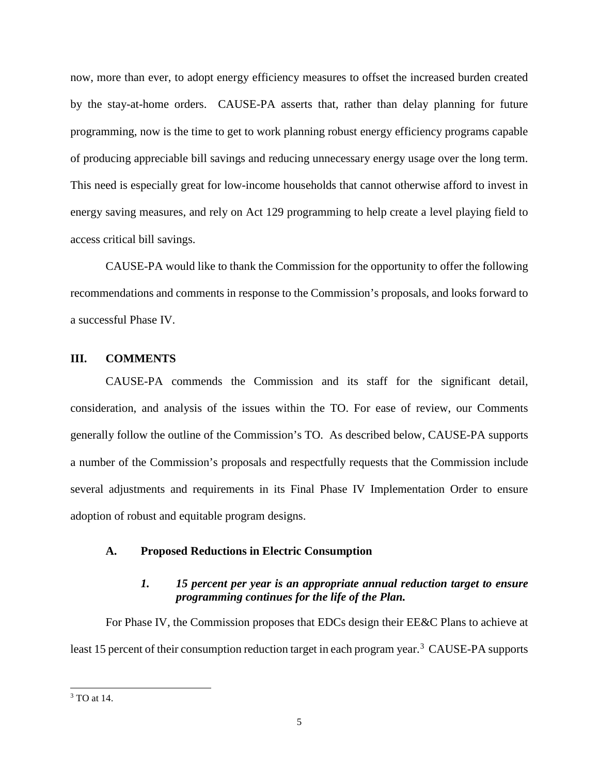now, more than ever, to adopt energy efficiency measures to offset the increased burden created by the stay-at-home orders. CAUSE-PA asserts that, rather than delay planning for future programming, now is the time to get to work planning robust energy efficiency programs capable of producing appreciable bill savings and reducing unnecessary energy usage over the long term. This need is especially great for low-income households that cannot otherwise afford to invest in energy saving measures, and rely on Act 129 programming to help create a level playing field to access critical bill savings.

CAUSE-PA would like to thank the Commission for the opportunity to offer the following recommendations and comments in response to the Commission's proposals, and looks forward to a successful Phase IV.

#### **III. COMMENTS**

CAUSE-PA commends the Commission and its staff for the significant detail, consideration, and analysis of the issues within the TO. For ease of review, our Comments generally follow the outline of the Commission's TO. As described below, CAUSE-PA supports a number of the Commission's proposals and respectfully requests that the Commission include several adjustments and requirements in its Final Phase IV Implementation Order to ensure adoption of robust and equitable program designs.

### **A. Proposed Reductions in Electric Consumption**

# *1. 15 percent per year is an appropriate annual reduction target to ensure programming continues for the life of the Plan.*

For Phase IV, the Commission proposes that EDCs design their EE&C Plans to achieve at least 15 percent of their consumption reduction target in each program year.<sup>[3](#page-5-0)</sup> CAUSE-PA supports

<span id="page-5-0"></span> <sup>3</sup> TO at 14.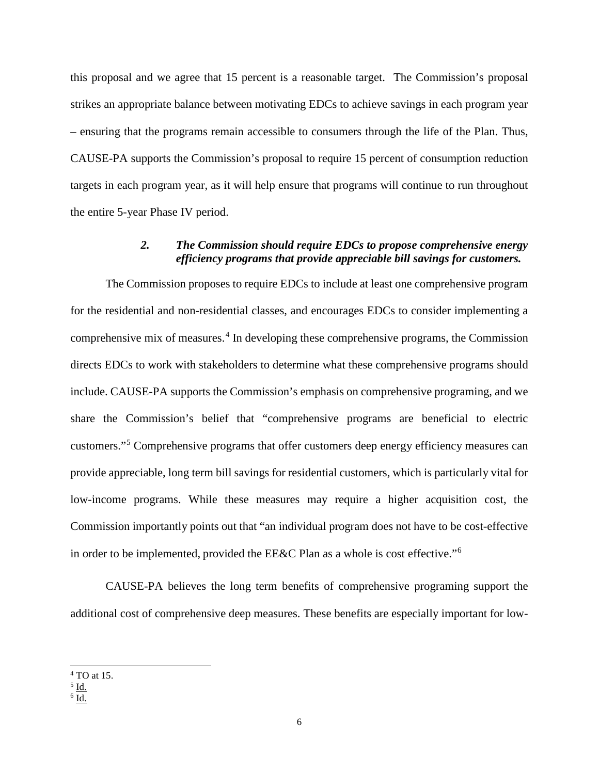this proposal and we agree that 15 percent is a reasonable target. The Commission's proposal strikes an appropriate balance between motivating EDCs to achieve savings in each program year – ensuring that the programs remain accessible to consumers through the life of the Plan. Thus, CAUSE-PA supports the Commission's proposal to require 15 percent of consumption reduction targets in each program year, as it will help ensure that programs will continue to run throughout the entire 5-year Phase IV period.

## *2. The Commission should require EDCs to propose comprehensive energy efficiency programs that provide appreciable bill savings for customers.*

The Commission proposes to require EDCs to include at least one comprehensive program for the residential and non-residential classes, and encourages EDCs to consider implementing a comprehensive mix of measures.<sup>[4](#page-6-0)</sup> In developing these comprehensive programs, the Commission directs EDCs to work with stakeholders to determine what these comprehensive programs should include. CAUSE-PA supports the Commission's emphasis on comprehensive programing, and we share the Commission's belief that "comprehensive programs are beneficial to electric customers."[5](#page-6-1) Comprehensive programs that offer customers deep energy efficiency measures can provide appreciable, long term bill savings for residential customers, which is particularly vital for low-income programs. While these measures may require a higher acquisition cost, the Commission importantly points out that "an individual program does not have to be cost-effective in order to be implemented, provided the EE&C Plan as a whole is cost effective."[6](#page-6-2)

CAUSE-PA believes the long term benefits of comprehensive programing support the additional cost of comprehensive deep measures. These benefits are especially important for low-

<span id="page-6-0"></span> <sup>4</sup> TO at 15.

<span id="page-6-1"></span> $<sup>5</sup>$  Id.</sup>

<span id="page-6-2"></span> $6$  Id.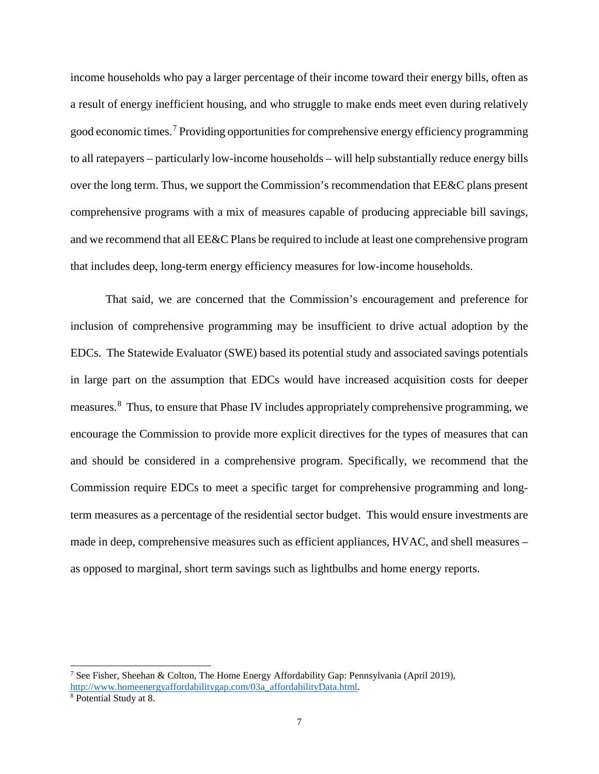income households who pay a larger percentage of their income toward their energy bills, often as a result of energy inefficient housing, and who struggle to make ends meet even during relatively good economic times.<sup>[7](#page-7-0)</sup> Providing opportunities for comprehensive energy efficiency programming to all ratepayers – particularly low-income households – will help substantially reduce energy bills over the long term. Thus, we support the Commission's recommendation that EE&C plans present comprehensive programs with a mix of measures capable of producing appreciable bill savings, and we recommend that all EE&C Plans be required to include at least one comprehensive program that includes deep, long-term energy efficiency measures for low-income households.

That said, we are concerned that the Commission's encouragement and preference for inclusion of comprehensive programming may be insufficient to drive actual adoption by the EDCs. The Statewide Evaluator (SWE) based its potential study and associated savings potentials in large part on the assumption that EDCs would have increased acquisition costs for deeper measures.<sup>[8](#page-7-1)</sup> Thus, to ensure that Phase IV includes appropriately comprehensive programming, we encourage the Commission to provide more explicit directives for the types of measures that can and should be considered in a comprehensive program. Specifically, we recommend that the Commission require EDCs to meet a specific target for comprehensive programming and longterm measures as a percentage of the residential sector budget. This would ensure investments are made in deep, comprehensive measures such as efficient appliances, HVAC, and shell measures – as opposed to marginal, short term savings such as lightbulbs and home energy reports.

<span id="page-7-0"></span><sup>&</sup>lt;sup>7</sup> See Fisher, Sheehan & Colton, The Home Energy Affordability Gap: Pennsylvania (April 2019), [http://www.homeenergyaffordabilitygap.com/03a\\_affordabilityData.html.](http://www.homeenergyaffordabilitygap.com/03a_affordabilityData.html)

<span id="page-7-1"></span><sup>8</sup> Potential Study at 8.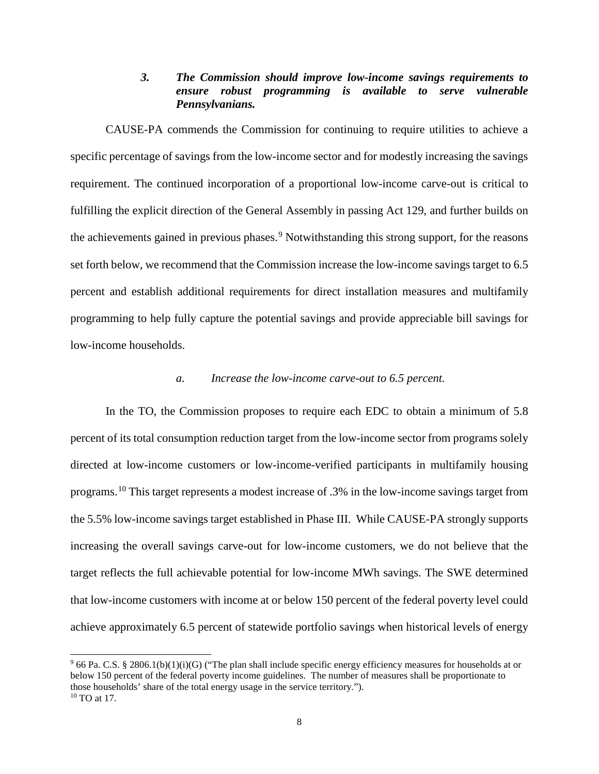## *3. The Commission should improve low-income savings requirements to ensure robust programming is available to serve vulnerable Pennsylvanians.*

CAUSE-PA commends the Commission for continuing to require utilities to achieve a specific percentage of savings from the low-income sector and for modestly increasing the savings requirement. The continued incorporation of a proportional low-income carve-out is critical to fulfilling the explicit direction of the General Assembly in passing Act 129, and further builds on the achievements gained in previous phases.<sup>[9](#page-8-0)</sup> Notwithstanding this strong support, for the reasons set forth below, we recommend that the Commission increase the low-income savings target to 6.5 percent and establish additional requirements for direct installation measures and multifamily programming to help fully capture the potential savings and provide appreciable bill savings for low-income households.

#### *a. Increase the low-income carve-out to 6.5 percent.*

In the TO, the Commission proposes to require each EDC to obtain a minimum of 5.8 percent of its total consumption reduction target from the low-income sector from programs solely directed at low-income customers or low-income-verified participants in multifamily housing programs.[10](#page-8-1) This target represents a modest increase of .3% in the low-income savings target from the 5.5% low-income savings target established in Phase III. While CAUSE-PA strongly supports increasing the overall savings carve-out for low-income customers, we do not believe that the target reflects the full achievable potential for low-income MWh savings. The SWE determined that low-income customers with income at or below 150 percent of the federal poverty level could achieve approximately 6.5 percent of statewide portfolio savings when historical levels of energy

<span id="page-8-1"></span><span id="page-8-0"></span> $966$  Pa. C.S. § 2806.1(b)(1)(i)(G) ("The plan shall include specific energy efficiency measures for households at or below 150 percent of the federal poverty income guidelines. The number of measures shall be proportionate to those households' share of the total energy usage in the service territory."). <sup>10</sup> TO at 17.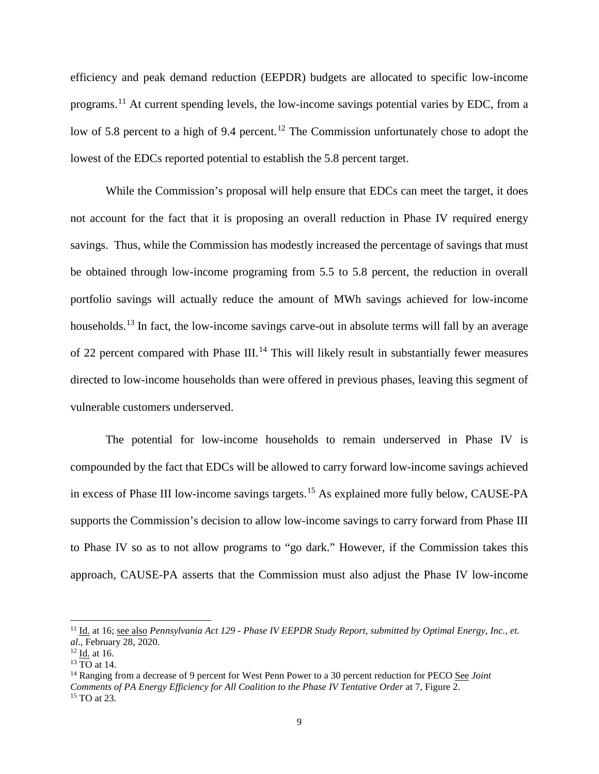efficiency and peak demand reduction (EEPDR) budgets are allocated to specific low-income programs.[11](#page-9-0) At current spending levels, the low-income savings potential varies by EDC, from a low of 5.8 percent to a high of 9.4 percent.<sup>[12](#page-9-1)</sup> The Commission unfortunately chose to adopt the lowest of the EDCs reported potential to establish the 5.8 percent target.

While the Commission's proposal will help ensure that EDCs can meet the target, it does not account for the fact that it is proposing an overall reduction in Phase IV required energy savings. Thus, while the Commission has modestly increased the percentage of savings that must be obtained through low-income programing from 5.5 to 5.8 percent, the reduction in overall portfolio savings will actually reduce the amount of MWh savings achieved for low-income households.<sup>[13](#page-9-2)</sup> In fact, the low-income savings carve-out in absolute terms will fall by an average of 22 percent compared with Phase III.<sup>[14](#page-9-3)</sup> This will likely result in substantially fewer measures directed to low-income households than were offered in previous phases, leaving this segment of vulnerable customers underserved.

The potential for low-income households to remain underserved in Phase IV is compounded by the fact that EDCs will be allowed to carry forward low-income savings achieved in excess of Phase III low-income savings targets.<sup>[15](#page-9-4)</sup> As explained more fully below, CAUSE-PA supports the Commission's decision to allow low-income savings to carry forward from Phase III to Phase IV so as to not allow programs to "go dark." However, if the Commission takes this approach, CAUSE-PA asserts that the Commission must also adjust the Phase IV low-income

<span id="page-9-0"></span><sup>&</sup>lt;sup>11</sup> Id. at 16; see also *Pennsylvania Act 129 - Phase IV EEPDR Study Report, submitted by Optimal Energy, Inc., et. al*., February 28, 2020.

<span id="page-9-1"></span> $12$  Id. at 16.

<span id="page-9-2"></span><sup>13</sup> TO at 14.

<span id="page-9-4"></span><span id="page-9-3"></span><sup>14</sup> Ranging from a decrease of 9 percent for West Penn Power to a 30 percent reduction for PECO See *Joint Comments of PA Energy Efficiency for All Coalition to the Phase IV Tentative Order* at 7, Figure 2. <sup>15</sup> TO at 23.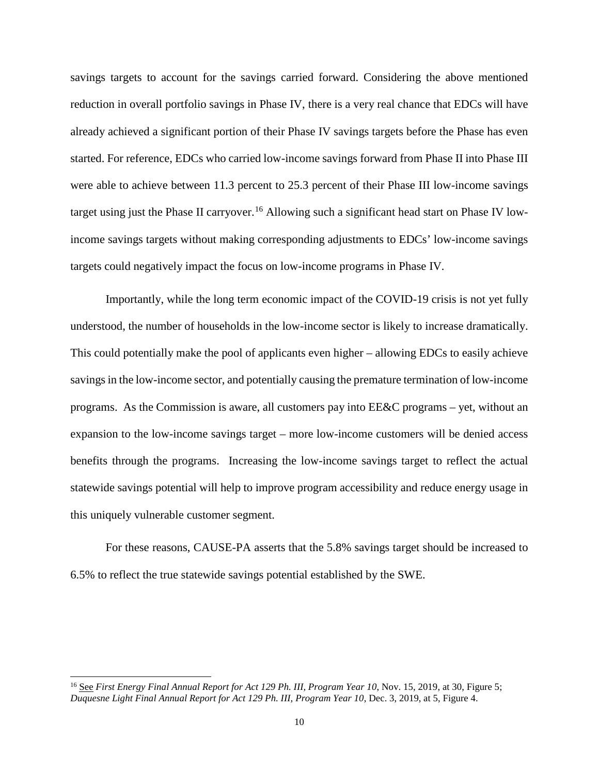savings targets to account for the savings carried forward. Considering the above mentioned reduction in overall portfolio savings in Phase IV, there is a very real chance that EDCs will have already achieved a significant portion of their Phase IV savings targets before the Phase has even started. For reference, EDCs who carried low-income savings forward from Phase II into Phase III were able to achieve between 11.3 percent to 25.3 percent of their Phase III low-income savings target using just the Phase II carryover.<sup>[16](#page-10-0)</sup> Allowing such a significant head start on Phase IV lowincome savings targets without making corresponding adjustments to EDCs' low-income savings targets could negatively impact the focus on low-income programs in Phase IV.

Importantly, while the long term economic impact of the COVID-19 crisis is not yet fully understood, the number of households in the low-income sector is likely to increase dramatically. This could potentially make the pool of applicants even higher – allowing EDCs to easily achieve savings in the low-income sector, and potentially causing the premature termination of low-income programs. As the Commission is aware, all customers pay into EE&C programs – yet, without an expansion to the low-income savings target – more low-income customers will be denied access benefits through the programs. Increasing the low-income savings target to reflect the actual statewide savings potential will help to improve program accessibility and reduce energy usage in this uniquely vulnerable customer segment.

For these reasons, CAUSE-PA asserts that the 5.8% savings target should be increased to 6.5% to reflect the true statewide savings potential established by the SWE.

<span id="page-10-0"></span> <sup>16</sup> See *First Energy Final Annual Report for Act 129 Ph. III, Program Year 10*, Nov. 15, 2019, at 30, Figure 5; *Duquesne Light Final Annual Report for Act 129 Ph. III, Program Year 10*, Dec. 3, 2019, at 5, Figure 4.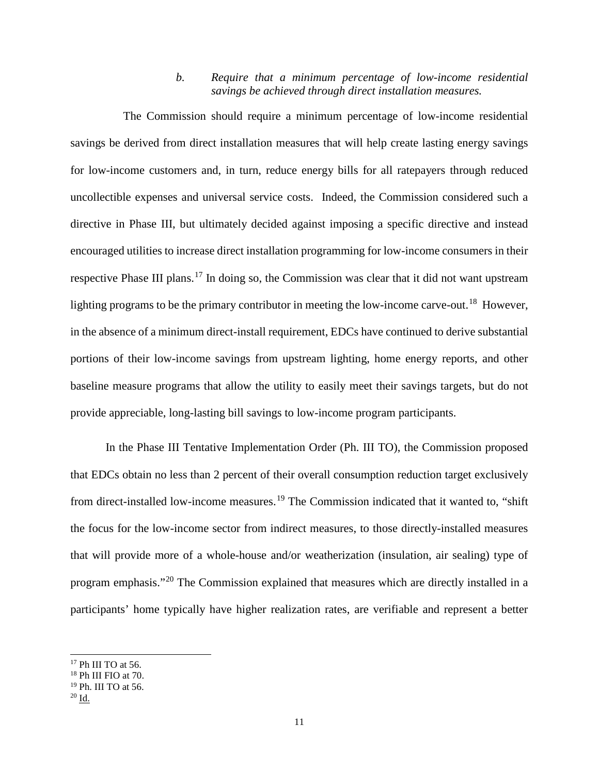#### *b. Require that a minimum percentage of low-income residential savings be achieved through direct installation measures.*

The Commission should require a minimum percentage of low-income residential savings be derived from direct installation measures that will help create lasting energy savings for low-income customers and, in turn, reduce energy bills for all ratepayers through reduced uncollectible expenses and universal service costs. Indeed, the Commission considered such a directive in Phase III, but ultimately decided against imposing a specific directive and instead encouraged utilities to increase direct installation programming for low-income consumers in their respective Phase III plans.<sup>[17](#page-11-0)</sup> In doing so, the Commission was clear that it did not want upstream lighting programs to be the primary contributor in meeting the low-income carve-out.<sup>18</sup> However, in the absence of a minimum direct-install requirement, EDCs have continued to derive substantial portions of their low-income savings from upstream lighting, home energy reports, and other baseline measure programs that allow the utility to easily meet their savings targets, but do not provide appreciable, long-lasting bill savings to low-income program participants.

In the Phase III Tentative Implementation Order (Ph. III TO), the Commission proposed that EDCs obtain no less than 2 percent of their overall consumption reduction target exclusively from direct-installed low-income measures.<sup>[19](#page-11-2)</sup> The Commission indicated that it wanted to, "shift the focus for the low-income sector from indirect measures, to those directly-installed measures that will provide more of a whole-house and/or weatherization (insulation, air sealing) type of program emphasis."[20](#page-11-3) The Commission explained that measures which are directly installed in a participants' home typically have higher realization rates, are verifiable and represent a better

<span id="page-11-0"></span><sup>&</sup>lt;sup>17</sup> Ph III TO at 56.

<span id="page-11-1"></span><sup>18</sup> Ph III FIO at 70.

<span id="page-11-2"></span><sup>&</sup>lt;sup>19</sup> Ph. III TO at 56.

<span id="page-11-3"></span><sup>20</sup> Id.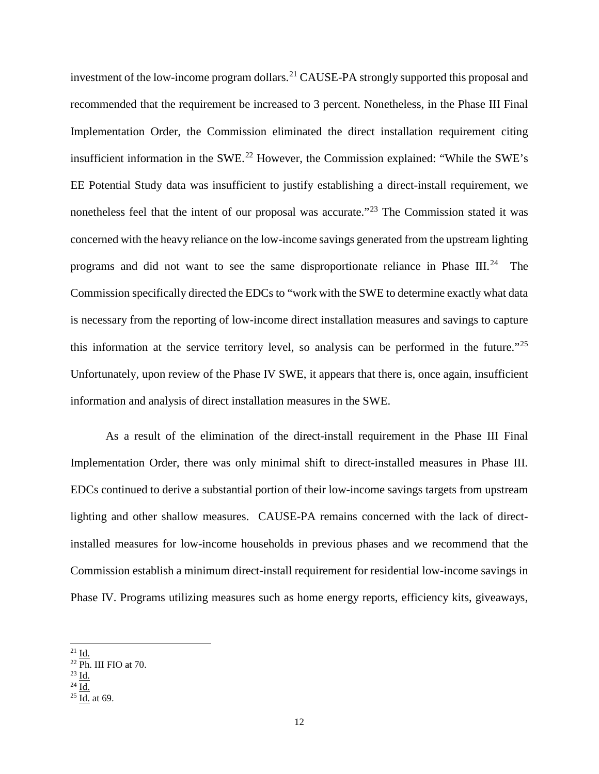investment of the low-income program dollars.<sup>[21](#page-12-0)</sup> CAUSE-PA strongly supported this proposal and recommended that the requirement be increased to 3 percent. Nonetheless, in the Phase III Final Implementation Order, the Commission eliminated the direct installation requirement citing insufficient information in the SWE.<sup>[22](#page-12-1)</sup> However, the Commission explained: "While the SWE's EE Potential Study data was insufficient to justify establishing a direct-install requirement, we nonetheless feel that the intent of our proposal was accurate."<sup>[23](#page-12-2)</sup> The Commission stated it was concerned with the heavy reliance on the low-income savings generated from the upstream lighting programs and did not want to see the same disproportionate reliance in Phase III.<sup>[24](#page-12-3)</sup> The Commission specifically directed the EDCs to "work with the SWE to determine exactly what data is necessary from the reporting of low-income direct installation measures and savings to capture this information at the service territory level, so analysis can be performed in the future."<sup>[25](#page-12-4)</sup> Unfortunately, upon review of the Phase IV SWE, it appears that there is, once again, insufficient information and analysis of direct installation measures in the SWE.

As a result of the elimination of the direct-install requirement in the Phase III Final Implementation Order, there was only minimal shift to direct-installed measures in Phase III. EDCs continued to derive a substantial portion of their low-income savings targets from upstream lighting and other shallow measures. CAUSE-PA remains concerned with the lack of directinstalled measures for low-income households in previous phases and we recommend that the Commission establish a minimum direct-install requirement for residential low-income savings in Phase IV. Programs utilizing measures such as home energy reports, efficiency kits, giveaways,

<span id="page-12-2"></span><sup>23</sup> Id.

<span id="page-12-0"></span> $^{\frac{21}{}}$  Id.

<span id="page-12-1"></span><sup>22</sup> Ph. III FIO at 70.

<span id="page-12-3"></span> $^{24}$   $\overline{\mathrm{Id.}}$ 

<span id="page-12-4"></span> $25 \overline{\text{Id.}}$  at 69.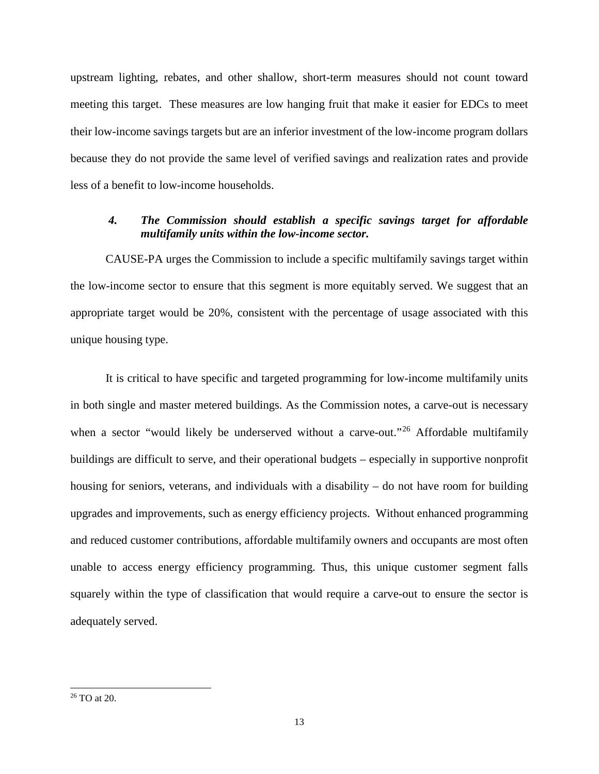upstream lighting, rebates, and other shallow, short-term measures should not count toward meeting this target. These measures are low hanging fruit that make it easier for EDCs to meet their low-income savings targets but are an inferior investment of the low-income program dollars because they do not provide the same level of verified savings and realization rates and provide less of a benefit to low-income households.

# *4. The Commission should establish a specific savings target for affordable multifamily units within the low-income sector.*

CAUSE-PA urges the Commission to include a specific multifamily savings target within the low-income sector to ensure that this segment is more equitably served. We suggest that an appropriate target would be 20%, consistent with the percentage of usage associated with this unique housing type.

It is critical to have specific and targeted programming for low-income multifamily units in both single and master metered buildings. As the Commission notes, a carve-out is necessary when a sector "would likely be underserved without a carve-out."<sup>[26](#page-13-0)</sup> Affordable multifamily buildings are difficult to serve, and their operational budgets – especially in supportive nonprofit housing for seniors, veterans, and individuals with a disability – do not have room for building upgrades and improvements, such as energy efficiency projects. Without enhanced programming and reduced customer contributions, affordable multifamily owners and occupants are most often unable to access energy efficiency programming. Thus, this unique customer segment falls squarely within the type of classification that would require a carve-out to ensure the sector is adequately served.

<span id="page-13-0"></span> <sup>26</sup> TO at 20.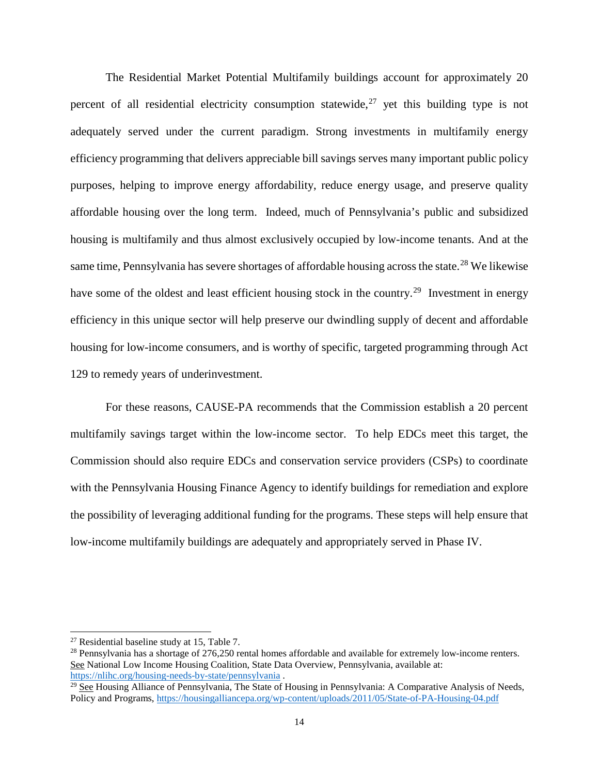The Residential Market Potential Multifamily buildings account for approximately 20 percent of all residential electricity consumption statewide, $27$  yet this building type is not adequately served under the current paradigm. Strong investments in multifamily energy efficiency programming that delivers appreciable bill savings serves many important public policy purposes, helping to improve energy affordability, reduce energy usage, and preserve quality affordable housing over the long term. Indeed, much of Pennsylvania's public and subsidized housing is multifamily and thus almost exclusively occupied by low-income tenants. And at the same time, Pennsylvania has severe shortages of affordable housing across the state.<sup>[28](#page-14-1)</sup> We likewise have some of the oldest and least efficient housing stock in the country.<sup>29</sup> Investment in energy efficiency in this unique sector will help preserve our dwindling supply of decent and affordable housing for low-income consumers, and is worthy of specific, targeted programming through Act 129 to remedy years of underinvestment.

For these reasons, CAUSE-PA recommends that the Commission establish a 20 percent multifamily savings target within the low-income sector. To help EDCs meet this target, the Commission should also require EDCs and conservation service providers (CSPs) to coordinate with the Pennsylvania Housing Finance Agency to identify buildings for remediation and explore the possibility of leveraging additional funding for the programs. These steps will help ensure that low-income multifamily buildings are adequately and appropriately served in Phase IV.

<span id="page-14-0"></span> $27$  Residential baseline study at 15, Table 7.

<span id="page-14-1"></span> $^{28}$  Pennsylvania has a shortage of 276,250 rental homes affordable and available for extremely low-income renters. See National Low Income Housing Coalition, State Data Overview, Pennsylvania, available at: <https://nlihc.org/housing-needs-by-state/pennsylvania> .

<span id="page-14-2"></span> $\frac{29}{28}$  See Housing Alliance of Pennsylvania, The State of Housing in Pennsylvania: A Comparative Analysis of Needs, Policy and Programs,<https://housingalliancepa.org/wp-content/uploads/2011/05/State-of-PA-Housing-04.pdf>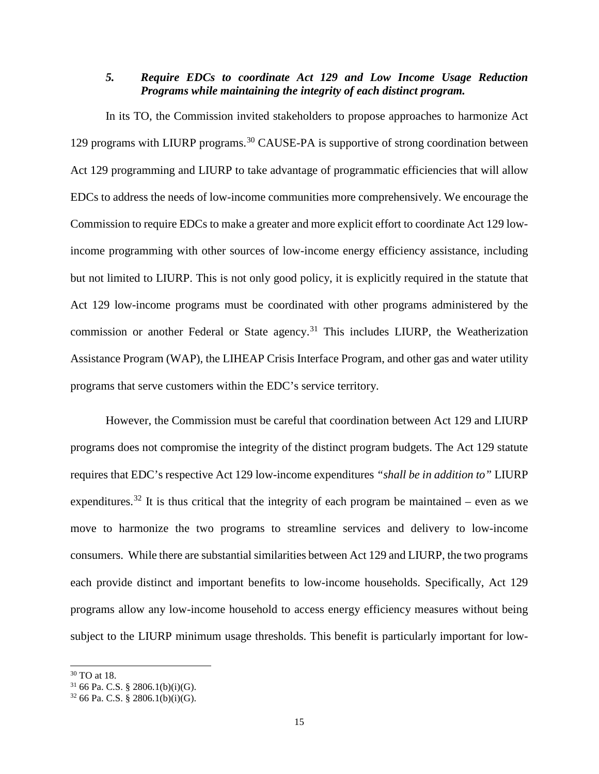## *5. Require EDCs to coordinate Act 129 and Low Income Usage Reduction Programs while maintaining the integrity of each distinct program.*

In its TO, the Commission invited stakeholders to propose approaches to harmonize Act 129 programs with LIURP programs.<sup>[30](#page-15-0)</sup> CAUSE-PA is supportive of strong coordination between Act 129 programming and LIURP to take advantage of programmatic efficiencies that will allow EDCs to address the needs of low-income communities more comprehensively. We encourage the Commission to require EDCs to make a greater and more explicit effort to coordinate Act 129 lowincome programming with other sources of low-income energy efficiency assistance, including but not limited to LIURP. This is not only good policy, it is explicitly required in the statute that Act 129 low-income programs must be coordinated with other programs administered by the commission or another Federal or State agency.<sup>[31](#page-15-1)</sup> This includes LIURP, the Weatherization Assistance Program (WAP), the LIHEAP Crisis Interface Program, and other gas and water utility programs that serve customers within the EDC's service territory.

However, the Commission must be careful that coordination between Act 129 and LIURP programs does not compromise the integrity of the distinct program budgets. The Act 129 statute requires that EDC's respective Act 129 low-income expenditures *"shall be in addition to"* LIURP expenditures.<sup>[32](#page-15-2)</sup> It is thus critical that the integrity of each program be maintained – even as we move to harmonize the two programs to streamline services and delivery to low-income consumers. While there are substantial similarities between Act 129 and LIURP, the two programs each provide distinct and important benefits to low-income households. Specifically, Act 129 programs allow any low-income household to access energy efficiency measures without being subject to the LIURP minimum usage thresholds. This benefit is particularly important for low-

<span id="page-15-0"></span> <sup>30</sup> TO at 18.

<span id="page-15-1"></span> $31$  66 Pa. C.S. § 2806.1(b)(i)(G).

<span id="page-15-2"></span> $32\,66$  Pa. C.S. § 2806.1(b)(i)(G).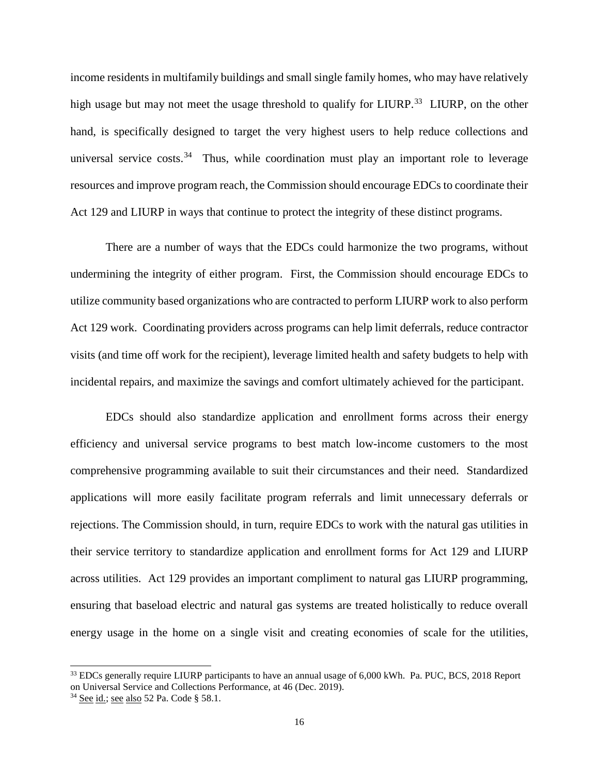income residents in multifamily buildings and small single family homes, who may have relatively high usage but may not meet the usage threshold to qualify for LIURP.<sup>33</sup> LIURP, on the other hand, is specifically designed to target the very highest users to help reduce collections and universal service  $costs<sup>34</sup>$  $costs<sup>34</sup>$  $costs<sup>34</sup>$ . Thus, while coordination must play an important role to leverage resources and improve program reach, the Commission should encourage EDCs to coordinate their Act 129 and LIURP in ways that continue to protect the integrity of these distinct programs.

There are a number of ways that the EDCs could harmonize the two programs, without undermining the integrity of either program. First, the Commission should encourage EDCs to utilize community based organizations who are contracted to perform LIURP work to also perform Act 129 work. Coordinating providers across programs can help limit deferrals, reduce contractor visits (and time off work for the recipient), leverage limited health and safety budgets to help with incidental repairs, and maximize the savings and comfort ultimately achieved for the participant.

EDCs should also standardize application and enrollment forms across their energy efficiency and universal service programs to best match low-income customers to the most comprehensive programming available to suit their circumstances and their need. Standardized applications will more easily facilitate program referrals and limit unnecessary deferrals or rejections. The Commission should, in turn, require EDCs to work with the natural gas utilities in their service territory to standardize application and enrollment forms for Act 129 and LIURP across utilities. Act 129 provides an important compliment to natural gas LIURP programming, ensuring that baseload electric and natural gas systems are treated holistically to reduce overall energy usage in the home on a single visit and creating economies of scale for the utilities,

<span id="page-16-0"></span><sup>&</sup>lt;sup>33</sup> EDCs generally require LIURP participants to have an annual usage of 6,000 kWh. Pa. PUC, BCS, 2018 Report on Universal Service and Collections Performance, at 46 (Dec. 2019).

<span id="page-16-1"></span><sup>&</sup>lt;sup>34</sup> See id.; see also 52 Pa. Code § 58.1.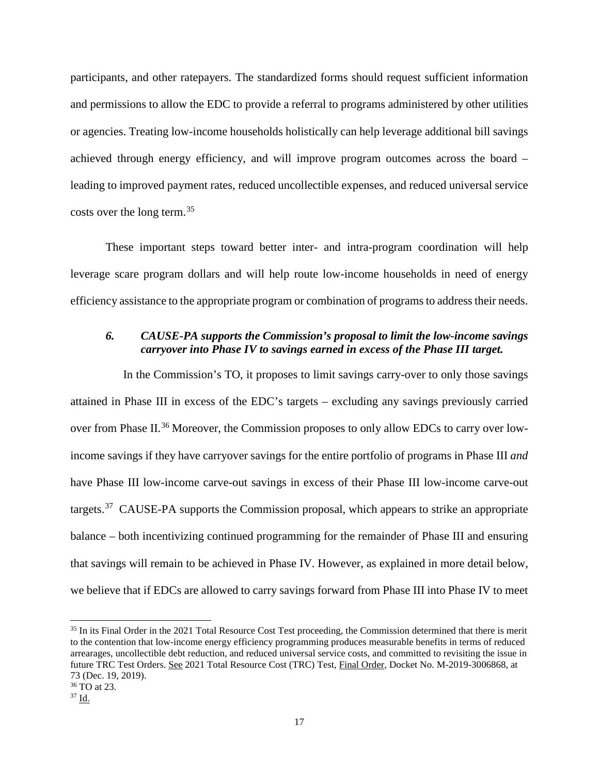participants, and other ratepayers. The standardized forms should request sufficient information and permissions to allow the EDC to provide a referral to programs administered by other utilities or agencies. Treating low-income households holistically can help leverage additional bill savings achieved through energy efficiency, and will improve program outcomes across the board – leading to improved payment rates, reduced uncollectible expenses, and reduced universal service costs over the long term.[35](#page-17-0)

These important steps toward better inter- and intra-program coordination will help leverage scare program dollars and will help route low-income households in need of energy efficiency assistance to the appropriate program or combination of programs to address their needs.

# *6. CAUSE-PA supports the Commission's proposal to limit the low-income savings carryover into Phase IV to savings earned in excess of the Phase III target.*

In the Commission's TO, it proposes to limit savings carry-over to only those savings attained in Phase III in excess of the EDC's targets – excluding any savings previously carried over from Phase II.<sup>[36](#page-17-1)</sup> Moreover, the Commission proposes to only allow EDCs to carry over lowincome savings if they have carryover savings for the entire portfolio of programs in Phase III *and* have Phase III low-income carve-out savings in excess of their Phase III low-income carve-out targets.<sup>37</sup> CAUSE-PA supports the Commission proposal, which appears to strike an appropriate balance – both incentivizing continued programming for the remainder of Phase III and ensuring that savings will remain to be achieved in Phase IV. However, as explained in more detail below, we believe that if EDCs are allowed to carry savings forward from Phase III into Phase IV to meet

<span id="page-17-0"></span><sup>&</sup>lt;sup>35</sup> In its Final Order in the 2021 Total Resource Cost Test proceeding, the Commission determined that there is merit to the contention that low-income energy efficiency programming produces measurable benefits in terms of reduced arrearages, uncollectible debt reduction, and reduced universal service costs, and committed to revisiting the issue in future TRC Test Orders. See 2021 Total Resource Cost (TRC) Test, Final Order, Docket No. M-2019-3006868, at 73 (Dec. 19, 2019).

<span id="page-17-1"></span><sup>36</sup> TO at 23.

<span id="page-17-2"></span><sup>37</sup> Id.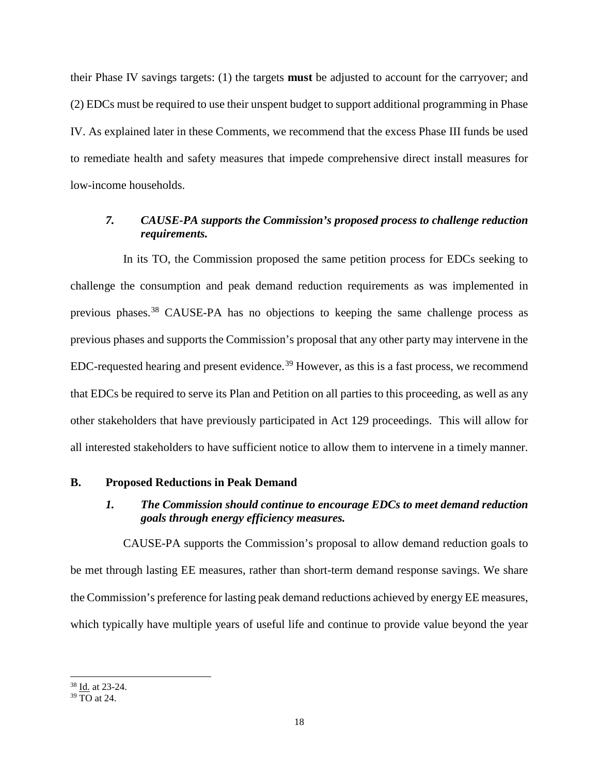their Phase IV savings targets: (1) the targets **must** be adjusted to account for the carryover; and (2) EDCs must be required to use their unspent budget to support additional programming in Phase IV. As explained later in these Comments, we recommend that the excess Phase III funds be used to remediate health and safety measures that impede comprehensive direct install measures for low-income households.

## *7. CAUSE-PA supports the Commission's proposed process to challenge reduction requirements.*

In its TO, the Commission proposed the same petition process for EDCs seeking to challenge the consumption and peak demand reduction requirements as was implemented in previous phases.[38](#page-18-0) CAUSE-PA has no objections to keeping the same challenge process as previous phases and supports the Commission's proposal that any other party may intervene in the EDC-requested hearing and present evidence.<sup>[39](#page-18-1)</sup> However, as this is a fast process, we recommend that EDCs be required to serve its Plan and Petition on all parties to this proceeding, as well as any other stakeholders that have previously participated in Act 129 proceedings. This will allow for all interested stakeholders to have sufficient notice to allow them to intervene in a timely manner.

#### **B. Proposed Reductions in Peak Demand**

## *1. The Commission should continue to encourage EDCs to meet demand reduction goals through energy efficiency measures.*

CAUSE-PA supports the Commission's proposal to allow demand reduction goals to be met through lasting EE measures, rather than short-term demand response savings. We share the Commission's preference for lasting peak demand reductions achieved by energy EE measures, which typically have multiple years of useful life and continue to provide value beyond the year

<span id="page-18-0"></span><sup>&</sup>lt;sup>38</sup> Id. at 23-24.

<span id="page-18-1"></span><sup>39</sup> TO at 24.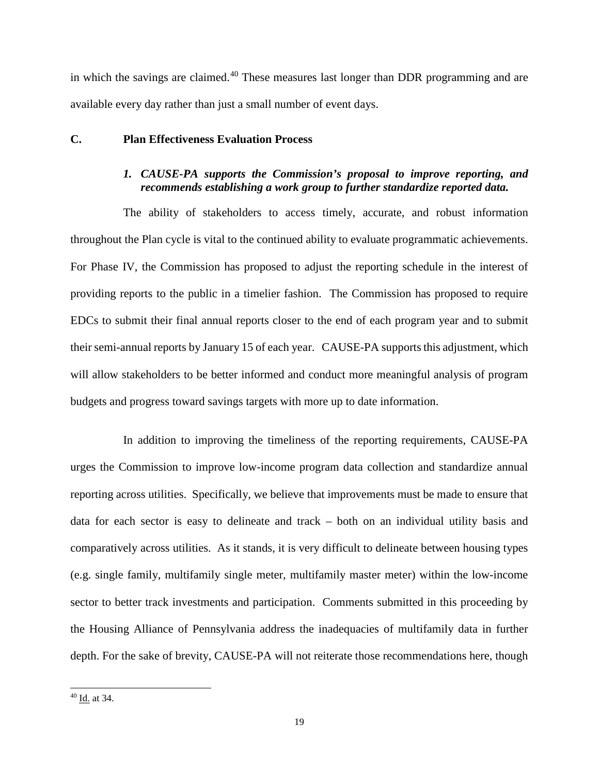in which the savings are claimed.<sup>[40](#page-19-0)</sup> These measures last longer than DDR programming and are available every day rather than just a small number of event days.

## **C. Plan Effectiveness Evaluation Process**

# *1. CAUSE-PA supports the Commission's proposal to improve reporting, and recommends establishing a work group to further standardize reported data.*

The ability of stakeholders to access timely, accurate, and robust information throughout the Plan cycle is vital to the continued ability to evaluate programmatic achievements. For Phase IV, the Commission has proposed to adjust the reporting schedule in the interest of providing reports to the public in a timelier fashion. The Commission has proposed to require EDCs to submit their final annual reports closer to the end of each program year and to submit their semi-annual reports by January 15 of each year. CAUSE-PA supports this adjustment, which will allow stakeholders to be better informed and conduct more meaningful analysis of program budgets and progress toward savings targets with more up to date information.

In addition to improving the timeliness of the reporting requirements, CAUSE-PA urges the Commission to improve low-income program data collection and standardize annual reporting across utilities. Specifically, we believe that improvements must be made to ensure that data for each sector is easy to delineate and track – both on an individual utility basis and comparatively across utilities. As it stands, it is very difficult to delineate between housing types (e.g. single family, multifamily single meter, multifamily master meter) within the low-income sector to better track investments and participation. Comments submitted in this proceeding by the Housing Alliance of Pennsylvania address the inadequacies of multifamily data in further depth. For the sake of brevity, CAUSE-PA will not reiterate those recommendations here, though

<span id="page-19-0"></span> <sup>40</sup> Id. at 34.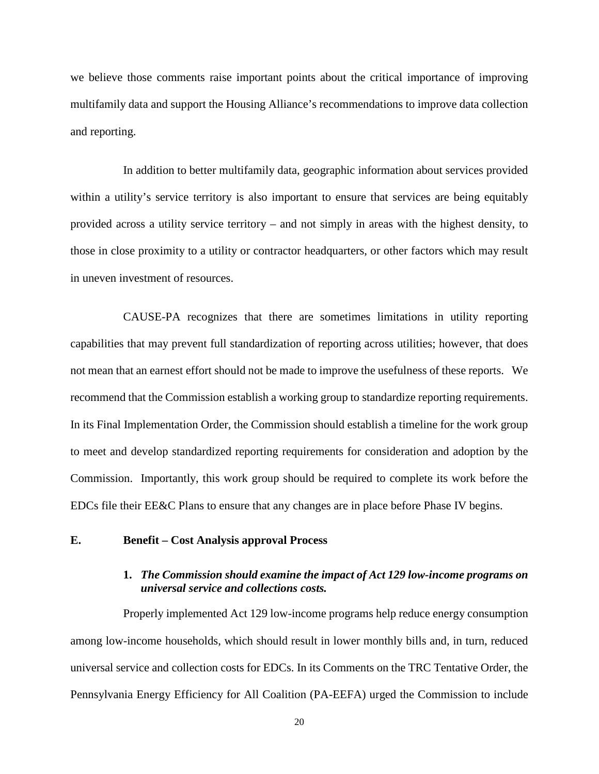we believe those comments raise important points about the critical importance of improving multifamily data and support the Housing Alliance's recommendations to improve data collection and reporting.

In addition to better multifamily data, geographic information about services provided within a utility's service territory is also important to ensure that services are being equitably provided across a utility service territory – and not simply in areas with the highest density, to those in close proximity to a utility or contractor headquarters, or other factors which may result in uneven investment of resources.

CAUSE-PA recognizes that there are sometimes limitations in utility reporting capabilities that may prevent full standardization of reporting across utilities; however, that does not mean that an earnest effort should not be made to improve the usefulness of these reports. We recommend that the Commission establish a working group to standardize reporting requirements. In its Final Implementation Order, the Commission should establish a timeline for the work group to meet and develop standardized reporting requirements for consideration and adoption by the Commission. Importantly, this work group should be required to complete its work before the EDCs file their EE&C Plans to ensure that any changes are in place before Phase IV begins.

#### **E. Benefit – Cost Analysis approval Process**

#### **1.** *The Commission should examine the impact of Act 129 low-income programs on universal service and collections costs.*

Properly implemented Act 129 low-income programs help reduce energy consumption among low-income households, which should result in lower monthly bills and, in turn, reduced universal service and collection costs for EDCs. In its Comments on the TRC Tentative Order, the Pennsylvania Energy Efficiency for All Coalition (PA-EEFA) urged the Commission to include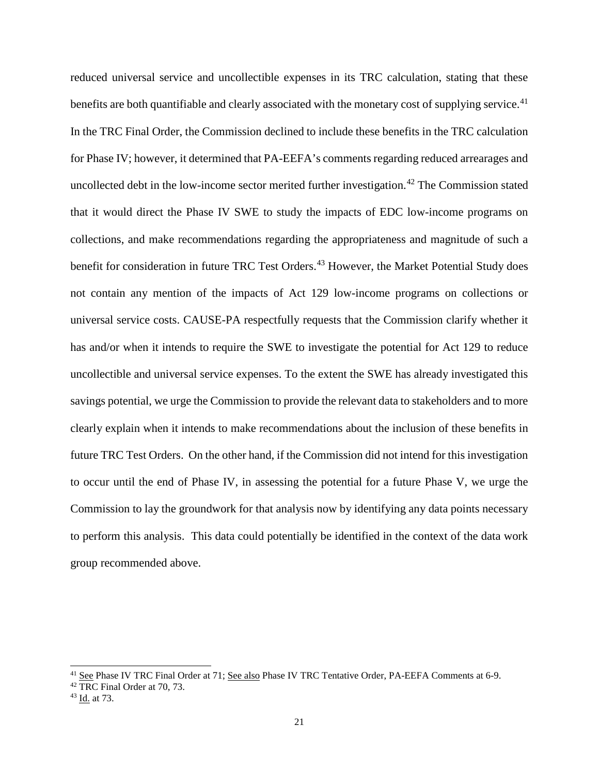reduced universal service and uncollectible expenses in its TRC calculation, stating that these benefits are both quantifiable and clearly associated with the monetary cost of supplying service.<sup>[41](#page-21-0)</sup> In the TRC Final Order, the Commission declined to include these benefits in the TRC calculation for Phase IV; however, it determined that PA-EEFA's comments regarding reduced arrearages and uncollected debt in the low-income sector merited further investigation. [42](#page-21-1) The Commission stated that it would direct the Phase IV SWE to study the impacts of EDC low-income programs on collections, and make recommendations regarding the appropriateness and magnitude of such a benefit for consideration in future TRC Test Orders.<sup>[43](#page-21-2)</sup> However, the Market Potential Study does not contain any mention of the impacts of Act 129 low-income programs on collections or universal service costs. CAUSE-PA respectfully requests that the Commission clarify whether it has and/or when it intends to require the SWE to investigate the potential for Act 129 to reduce uncollectible and universal service expenses. To the extent the SWE has already investigated this savings potential, we urge the Commission to provide the relevant data to stakeholders and to more clearly explain when it intends to make recommendations about the inclusion of these benefits in future TRC Test Orders. On the other hand, if the Commission did not intend for this investigation to occur until the end of Phase IV, in assessing the potential for a future Phase V, we urge the Commission to lay the groundwork for that analysis now by identifying any data points necessary to perform this analysis. This data could potentially be identified in the context of the data work group recommended above.

<span id="page-21-0"></span><sup>&</sup>lt;sup>41</sup> See Phase IV TRC Final Order at 71; See also Phase IV TRC Tentative Order, PA-EEFA Comments at 6-9.

<span id="page-21-1"></span><sup>42</sup> TRC Final Order at 70, 73.

<span id="page-21-2"></span><sup>43</sup> Id. at 73.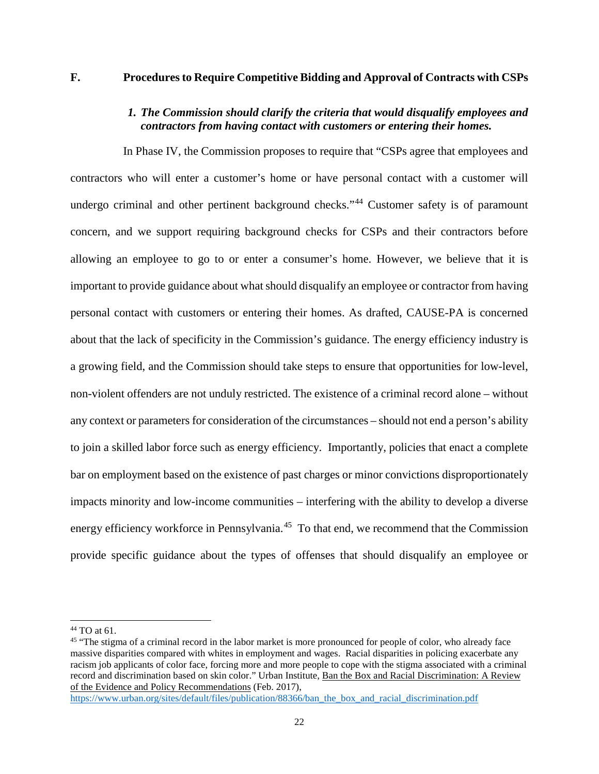#### **F. Procedures to Require Competitive Bidding and Approval of Contracts with CSPs**

## *1. The Commission should clarify the criteria that would disqualify employees and contractors from having contact with customers or entering their homes.*

In Phase IV, the Commission proposes to require that "CSPs agree that employees and contractors who will enter a customer's home or have personal contact with a customer will undergo criminal and other pertinent background checks."<sup>[44](#page-22-0)</sup> Customer safety is of paramount concern, and we support requiring background checks for CSPs and their contractors before allowing an employee to go to or enter a consumer's home. However, we believe that it is important to provide guidance about what should disqualify an employee or contractor from having personal contact with customers or entering their homes. As drafted, CAUSE-PA is concerned about that the lack of specificity in the Commission's guidance. The energy efficiency industry is a growing field, and the Commission should take steps to ensure that opportunities for low-level, non-violent offenders are not unduly restricted. The existence of a criminal record alone – without any context or parameters for consideration of the circumstances – should not end a person's ability to join a skilled labor force such as energy efficiency. Importantly, policies that enact a complete bar on employment based on the existence of past charges or minor convictions disproportionately impacts minority and low-income communities – interfering with the ability to develop a diverse energy efficiency workforce in Pennsylvania.<sup>[45](#page-22-1)</sup> To that end, we recommend that the Commission provide specific guidance about the types of offenses that should disqualify an employee or

<span id="page-22-0"></span> <sup>44</sup> TO at 61.

<span id="page-22-1"></span><sup>&</sup>lt;sup>45</sup> "The stigma of a criminal record in the labor market is more pronounced for people of color, who already face massive disparities compared with whites in employment and wages. Racial disparities in policing exacerbate any racism job applicants of color face, forcing more and more people to cope with the stigma associated with a criminal record and discrimination based on skin color." Urban Institute, Ban the Box and Racial Discrimination: A Review of the Evidence and Policy Recommendations (Feb. 2017),

[https://www.urban.org/sites/default/files/publication/88366/ban\\_the\\_box\\_and\\_racial\\_discrimination.pdf](https://www.urban.org/sites/default/files/publication/88366/ban_the_box_and_racial_discrimination.pdf)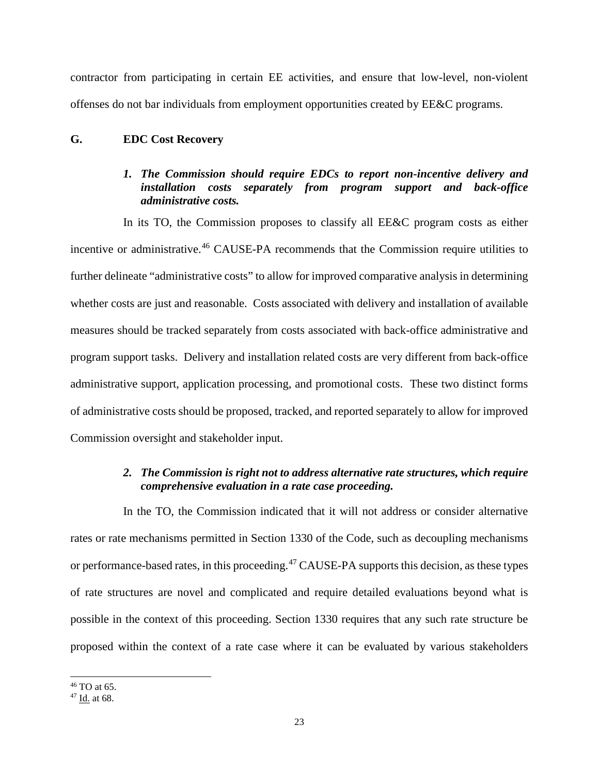contractor from participating in certain EE activities, and ensure that low-level, non-violent offenses do not bar individuals from employment opportunities created by EE&C programs.

#### **G. EDC Cost Recovery**

# *1. The Commission should require EDCs to report non-incentive delivery and installation costs separately from program support and back-office administrative costs.*

In its TO, the Commission proposes to classify all EE&C program costs as either incentive or administrative.<sup>[46](#page-23-0)</sup> CAUSE-PA recommends that the Commission require utilities to further delineate "administrative costs" to allow for improved comparative analysis in determining whether costs are just and reasonable. Costs associated with delivery and installation of available measures should be tracked separately from costs associated with back-office administrative and program support tasks. Delivery and installation related costs are very different from back-office administrative support, application processing, and promotional costs. These two distinct forms of administrative costs should be proposed, tracked, and reported separately to allow for improved Commission oversight and stakeholder input.

# *2. The Commission is right not to address alternative rate structures, which require comprehensive evaluation in a rate case proceeding.*

In the TO, the Commission indicated that it will not address or consider alternative rates or rate mechanisms permitted in Section 1330 of the Code, such as decoupling mechanisms or performance-based rates, in this proceeding.[47](#page-23-1) CAUSE-PA supports this decision, as these types of rate structures are novel and complicated and require detailed evaluations beyond what is possible in the context of this proceeding. Section 1330 requires that any such rate structure be proposed within the context of a rate case where it can be evaluated by various stakeholders

<span id="page-23-0"></span> $46$  TO at 65.

<span id="page-23-1"></span><sup>47</sup> Id. at 68.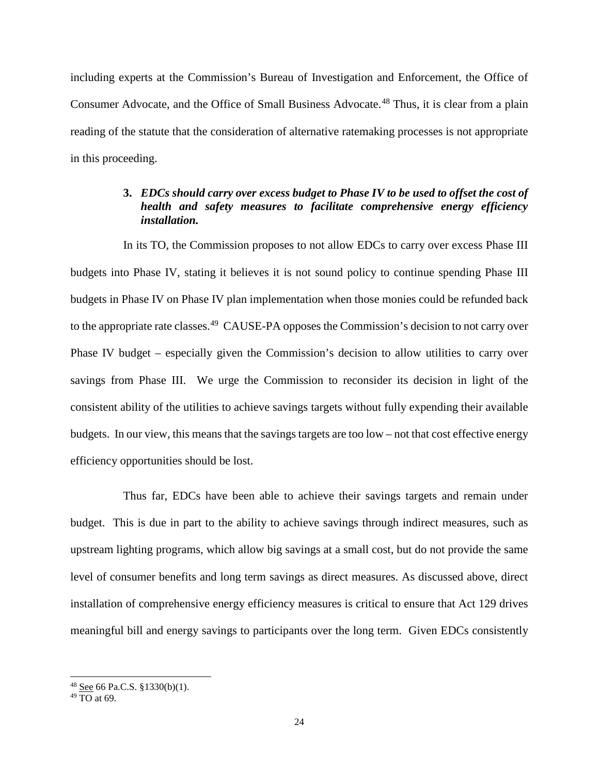including experts at the Commission's Bureau of Investigation and Enforcement, the Office of Consumer Advocate, and the Office of Small Business Advocate.<sup>[48](#page-24-0)</sup> Thus, it is clear from a plain reading of the statute that the consideration of alternative ratemaking processes is not appropriate in this proceeding.

## **3.** *EDCs should carry over excess budget to Phase IV to be used to offset the cost of health and safety measures to facilitate comprehensive energy efficiency installation.*

In its TO, the Commission proposes to not allow EDCs to carry over excess Phase III budgets into Phase IV, stating it believes it is not sound policy to continue spending Phase III budgets in Phase IV on Phase IV plan implementation when those monies could be refunded back to the appropriate rate classes.<sup>[49](#page-24-1)</sup> CAUSE-PA opposes the Commission's decision to not carry over Phase IV budget – especially given the Commission's decision to allow utilities to carry over savings from Phase III. We urge the Commission to reconsider its decision in light of the consistent ability of the utilities to achieve savings targets without fully expending their available budgets. In our view, this means that the savings targets are too low – not that cost effective energy efficiency opportunities should be lost.

Thus far, EDCs have been able to achieve their savings targets and remain under budget. This is due in part to the ability to achieve savings through indirect measures, such as upstream lighting programs, which allow big savings at a small cost, but do not provide the same level of consumer benefits and long term savings as direct measures. As discussed above, direct installation of comprehensive energy efficiency measures is critical to ensure that Act 129 drives meaningful bill and energy savings to participants over the long term. Given EDCs consistently

<span id="page-24-0"></span> $48$  See 66 Pa.C.S. §1330(b)(1).

<span id="page-24-1"></span> $49 \overline{TO}$  at 69.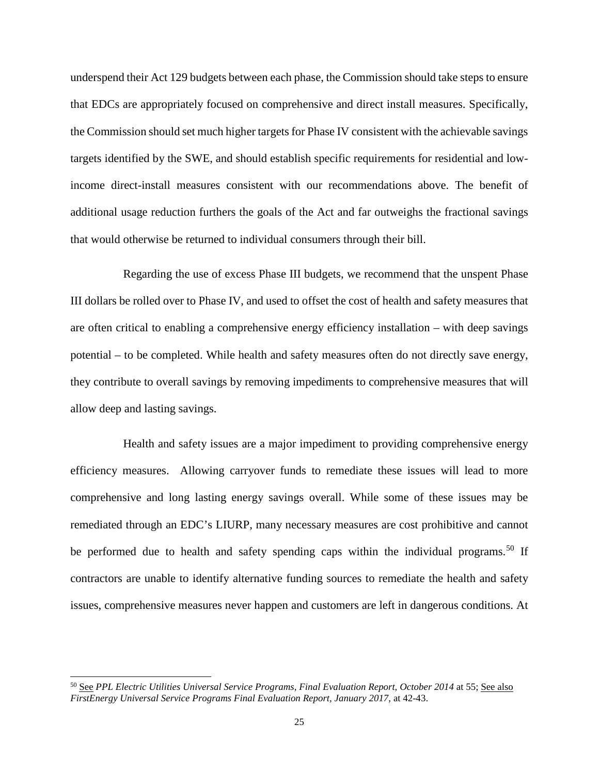underspend their Act 129 budgets between each phase, the Commission should take steps to ensure that EDCs are appropriately focused on comprehensive and direct install measures. Specifically, the Commission should set much higher targets for Phase IV consistent with the achievable savings targets identified by the SWE, and should establish specific requirements for residential and lowincome direct-install measures consistent with our recommendations above. The benefit of additional usage reduction furthers the goals of the Act and far outweighs the fractional savings that would otherwise be returned to individual consumers through their bill.

Regarding the use of excess Phase III budgets, we recommend that the unspent Phase III dollars be rolled over to Phase IV, and used to offset the cost of health and safety measures that are often critical to enabling a comprehensive energy efficiency installation – with deep savings potential – to be completed. While health and safety measures often do not directly save energy, they contribute to overall savings by removing impediments to comprehensive measures that will allow deep and lasting savings.

Health and safety issues are a major impediment to providing comprehensive energy efficiency measures. Allowing carryover funds to remediate these issues will lead to more comprehensive and long lasting energy savings overall. While some of these issues may be remediated through an EDC's LIURP, many necessary measures are cost prohibitive and cannot be performed due to health and safety spending caps within the individual programs.<sup>[50](#page-25-0)</sup> If contractors are unable to identify alternative funding sources to remediate the health and safety issues, comprehensive measures never happen and customers are left in dangerous conditions. At

<span id="page-25-0"></span> <sup>50</sup> See *PPL Electric Utilities Universal Service Programs, Final Evaluation Report, October 2014* at 55; See also *FirstEnergy Universal Service Programs Final Evaluation Report, January 2017*, at 42-43.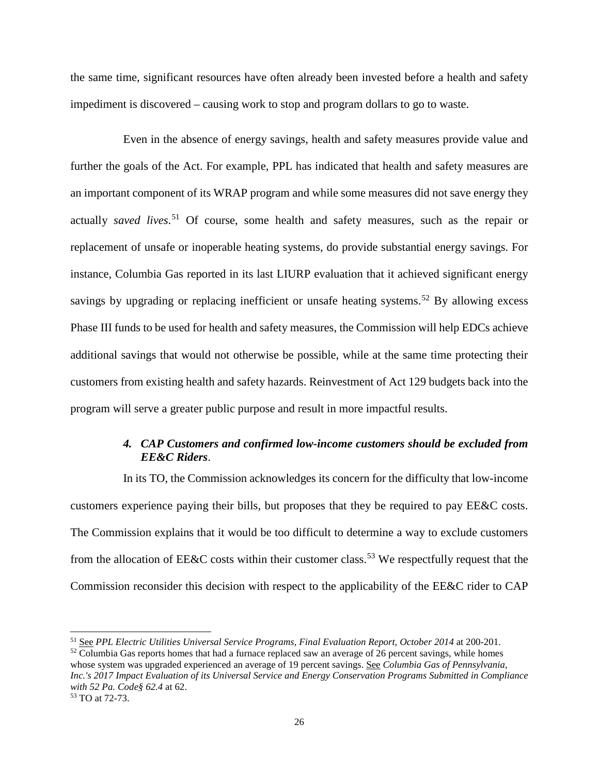the same time, significant resources have often already been invested before a health and safety impediment is discovered – causing work to stop and program dollars to go to waste.

Even in the absence of energy savings, health and safety measures provide value and further the goals of the Act. For example, PPL has indicated that health and safety measures are an important component of its WRAP program and while some measures did not save energy they actually *saved lives*. [51](#page-26-0) Of course, some health and safety measures, such as the repair or replacement of unsafe or inoperable heating systems, do provide substantial energy savings. For instance, Columbia Gas reported in its last LIURP evaluation that it achieved significant energy savings by upgrading or replacing inefficient or unsafe heating systems.<sup>[52](#page-26-1)</sup> By allowing excess Phase III funds to be used for health and safety measures, the Commission will help EDCs achieve additional savings that would not otherwise be possible, while at the same time protecting their customers from existing health and safety hazards. Reinvestment of Act 129 budgets back into the program will serve a greater public purpose and result in more impactful results.

## *4. CAP Customers and confirmed low-income customers should be excluded from EE&C Riders*.

In its TO, the Commission acknowledges its concern for the difficulty that low-income customers experience paying their bills, but proposes that they be required to pay EE&C costs. The Commission explains that it would be too difficult to determine a way to exclude customers from the allocation of EE&C costs within their customer class.<sup>[53](#page-26-2)</sup> We respectfully request that the Commission reconsider this decision with respect to the applicability of the EE&C rider to CAP

<span id="page-26-1"></span> $52$  Columbia Gas reports homes that had a furnace replaced saw an average of 26 percent savings, while homes whose system was upgraded experienced an average of 19 percent savings. See *Columbia Gas of Pennsylvania, Inc.'s 2017 Impact Evaluation of its Universal Service and Energy Conservation Programs Submitted in Compliance with 52 Pa. Code§ 62.4* at 62.

<span id="page-26-0"></span> <sup>51</sup> See *PPL Electric Utilities Universal Service Programs, Final Evaluation Report, October 2014* at 200-201.

<span id="page-26-2"></span><sup>53</sup> TO at 72-73.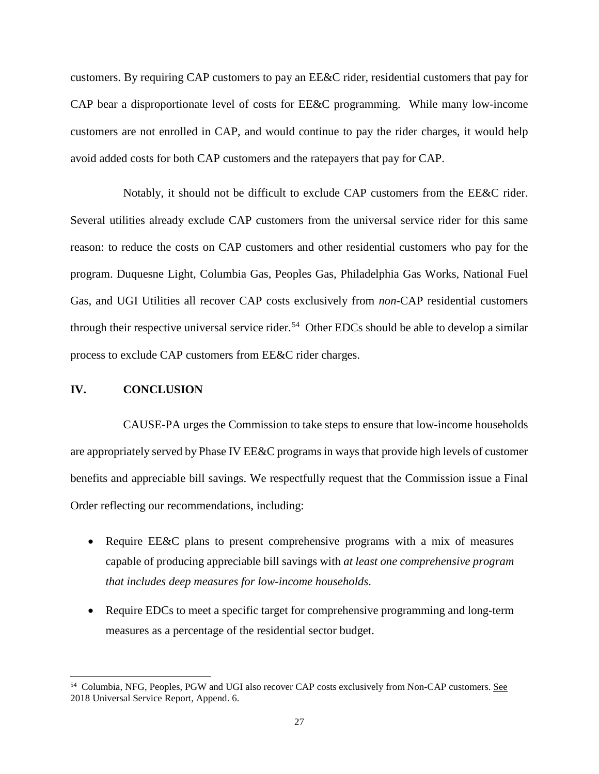customers. By requiring CAP customers to pay an EE&C rider, residential customers that pay for CAP bear a disproportionate level of costs for EE&C programming. While many low-income customers are not enrolled in CAP, and would continue to pay the rider charges, it would help avoid added costs for both CAP customers and the ratepayers that pay for CAP.

Notably, it should not be difficult to exclude CAP customers from the EE&C rider. Several utilities already exclude CAP customers from the universal service rider for this same reason: to reduce the costs on CAP customers and other residential customers who pay for the program. Duquesne Light, Columbia Gas, Peoples Gas, Philadelphia Gas Works, National Fuel Gas, and UGI Utilities all recover CAP costs exclusively from *non*-CAP residential customers through their respective universal service rider. [54](#page-27-0) Other EDCs should be able to develop a similar process to exclude CAP customers from EE&C rider charges.

#### **IV. CONCLUSION**

CAUSE-PA urges the Commission to take steps to ensure that low-income households are appropriately served by Phase IV EE&C programs in ways that provide high levels of customer benefits and appreciable bill savings. We respectfully request that the Commission issue a Final Order reflecting our recommendations, including:

- Require EE&C plans to present comprehensive programs with a mix of measures capable of producing appreciable bill savings with *at least one comprehensive program that includes deep measures for low-income households*.
- Require EDCs to meet a specific target for comprehensive programming and long-term measures as a percentage of the residential sector budget.

<span id="page-27-0"></span><sup>&</sup>lt;sup>54</sup> Columbia, NFG, Peoples, PGW and UGI also recover CAP costs exclusively from Non-CAP customers. See 2018 Universal Service Report, Append. 6.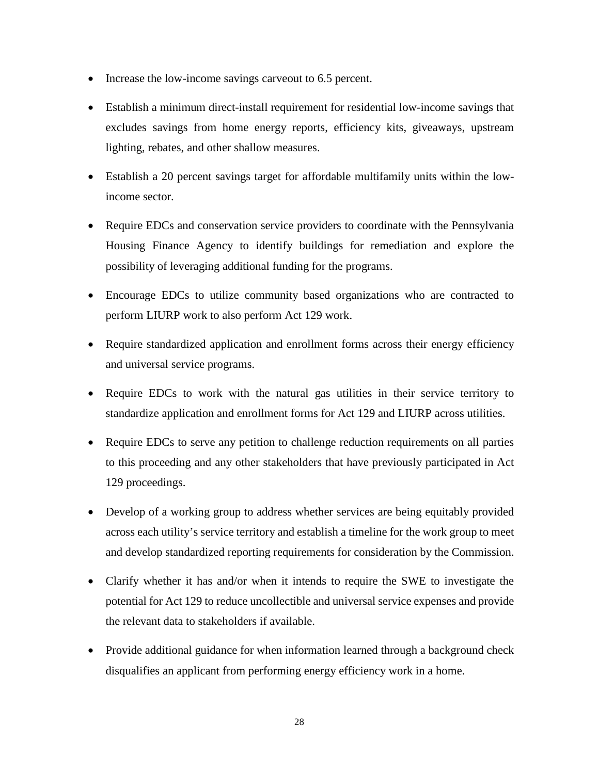- Increase the low-income savings carveout to 6.5 percent.
- Establish a minimum direct-install requirement for residential low-income savings that excludes savings from home energy reports, efficiency kits, giveaways, upstream lighting, rebates, and other shallow measures.
- Establish a 20 percent savings target for affordable multifamily units within the lowincome sector.
- Require EDCs and conservation service providers to coordinate with the Pennsylvania Housing Finance Agency to identify buildings for remediation and explore the possibility of leveraging additional funding for the programs.
- Encourage EDCs to utilize community based organizations who are contracted to perform LIURP work to also perform Act 129 work.
- Require standardized application and enrollment forms across their energy efficiency and universal service programs.
- Require EDCs to work with the natural gas utilities in their service territory to standardize application and enrollment forms for Act 129 and LIURP across utilities.
- Require EDCs to serve any petition to challenge reduction requirements on all parties to this proceeding and any other stakeholders that have previously participated in Act 129 proceedings.
- Develop of a working group to address whether services are being equitably provided across each utility's service territory and establish a timeline for the work group to meet and develop standardized reporting requirements for consideration by the Commission.
- Clarify whether it has and/or when it intends to require the SWE to investigate the potential for Act 129 to reduce uncollectible and universal service expenses and provide the relevant data to stakeholders if available.
- Provide additional guidance for when information learned through a background check disqualifies an applicant from performing energy efficiency work in a home.